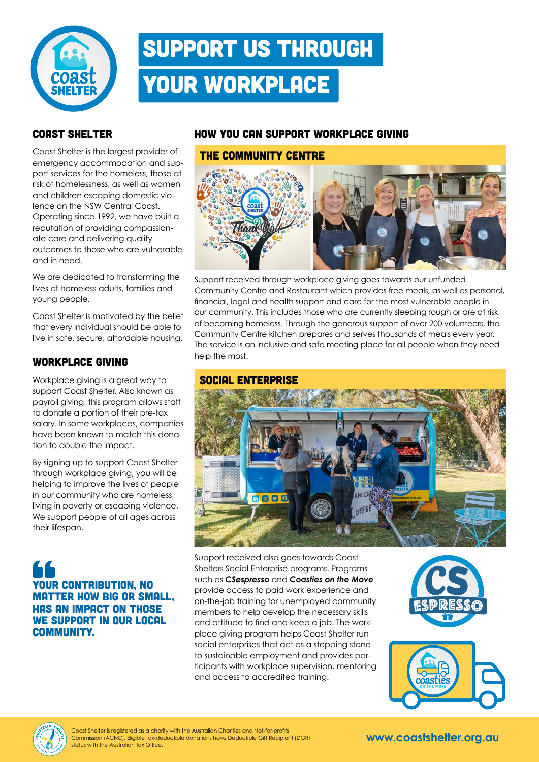

## Support us through your workplace

#### Coast Shelter

Coast Shelter is the largest provider of emergency accommodation and support services for the homeless, those at risk of homelessness, as well as women and children escaping domestic violence on the NSW Central Coast. Operating since 1992, we have built a reputation of providing compassionate care and delivering quality outcomes to those who are vulnerable and in need.

We are dedicated to transforming the lives of homeless adults, families and young people.

Coast Shelter is motivated by the belief that every individual should be able to live in safe, secure, affordable housing.

#### Workplace giving

Workplace giving is a great way to support Coast Shelter. Also known as payroll giving, this program allows staff to donate a portion of their pre-tax salary. In some workplaces, companies have been known to match this donation to double the impact.

By signing up to support Coast Shelter through workplace giving, you will be helping to improve the lives of people in our community who are homeless, living in poverty or escaping violence. We support people of all ages across their lifespan.

### YOUR CONTRIBUTION, NO matter how big or small, has an impact on those WE SUPPORT IN OUR LOCAL community.

#### How you can support workplace giving

#### The Community centre



Support received through workplace giving goes towards our unfunded Community Centre and Restaurant which provides free meals, as well as personal, financial, legal and health support and care for the most vulnerable people in our community. This includes those who are currently sleeping rough or are at risk of becoming homeless. Through the generous support of over 200 volunteers, the Community Centre kitchen prepares and serves thousands of meals every year. The service is an inclusive and safe meeting place for all people when they need help the most.

#### social enterprise



Support received also goes towards Coast Shelters Social Enterprise programs. Programs such as *CSespresso* and *Coasties on the Move* provide access to paid work experience and on-the-job training for unemployed community members to help develop the necessary skills and attitude to find and keep a job. The workplace giving program helps Coast Shelter run social enterprises that act as a stepping stone to sustainable employment and provides participants with workplace supervision, mentoring and access to accredited training.